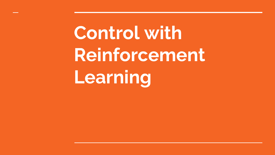**Control with Reinforcement Learning**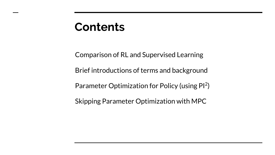## **Contents**

Comparison of RL and Supervised Learning

Brief introductions of terms and background

Parameter Optimization for Policy (using Pl<sup>2</sup>)

Skipping Parameter Optimization with MPC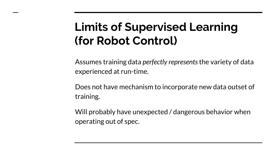## **Limits of Supervised Learning (for Robot Control)**

Assumes training data *perfectly represents* the variety of data experienced at run-time.

Does not have mechanism to incorporate new data outset of training.

Will probably have unexpected / dangerous behavior when operating out of spec.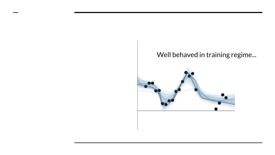#### Well behaved in training regime...

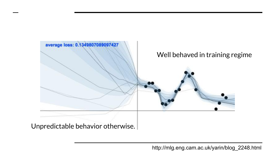

http://mlg.eng.cam.ac.uk/yarin/blog\_2248.html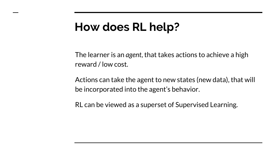## **How does RL help?**

The learner is an *agent*, that takes actions to achieve a high reward / low cost.

Actions can take the agent to new states (new data), that will be incorporated into the agent's behavior.

RL can be viewed as a superset of Supervised Learning.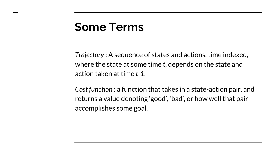## **Some Terms**

*Trajectory* : A sequence of states and actions, time indexed, where the state at some time *t*, depends on the state and action taken at time *t-1*.

*Cost function* : a function that takes in a state-action pair, and returns a value denoting 'good', 'bad', or how well that pair accomplishes some goal.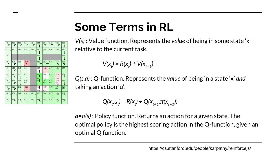| 0.22<br>٣              | 0.25                     | 0.27 | 0.30                      | 0.34 | 0.38                 | 0.34                 | 0.30 | 0.34                 | 0.38      |
|------------------------|--------------------------|------|---------------------------|------|----------------------|----------------------|------|----------------------|-----------|
| 0.25                   | 0.27                     | 0.30 | 0.34                      | 0.38 | 0.42                 | 0.38                 | 0.34 | 0.38                 | 0.42      |
| 0.24                   |                          |      |                           |      | 0.46                 |                      |      |                      | 0.46      |
| 0.20                   | 0.22<br>4,               | 0.25 | $-0.78$<br>↰<br>$R - 1.0$ |      | 0.52                 | 0.57                 | 0.64 | 0.57<br>↰            | 0.52<br>F |
| 0.22<br>Г              | 0.25<br>1,               | 0.27 | 0.25<br>↴                 |      | 0.08<br>$R - 1.4$    | $-0.36$<br>$R - 1.0$ | 0.71 | 0.64<br>–            | 0.57<br>– |
| 0.25<br>4              | 0.27<br>$\mathfrak{r}^*$ | 0.30 | 0.27<br>↰                 |      | 1.20<br>R 1.0        | 0.08<br>$R - 1.0$    | 0.79 | $-0.29$<br>$R - 1.0$ | 0.52      |
| 0.27<br>$\mathfrak{r}$ | 0.30<br>٣,               | 0.34 | 0.30                      |      | 1.01                 | 0.97                 | 0.87 | $-0.21$<br>$R - 1.0$ | 0.57      |
| 0.31                   | 0.34<br>F                | 0.38 | $-0.58$<br>$R - 1.9$      |      | $-0.0B$<br>$R - 1.0$ | $-0.1B$<br>$R - 1.0$ | 0.79 | 0.71                 | 0.64      |
| 0.34                   | 0.38                     | 0.42 | 0.46                      | 0.52 | 0.57                 | 0.64                 | 0.71 | 0.64                 | 0.57      |
| 0.31                   | 0.34                     | 0.38 | 0.42                      | 0.46 | 0.52                 | 0.57                 | 0.64 | 0.57                 | 0.52      |

# **Some Terms in RL**

*V(s)* : Value function. Represents the *value* of being in some state 'x' relative to the current task.

 $V(x_t) = R(x_t) + V(x_{t+1})$ 

*Q(s,a)* : Q-function. Represents the *value* of being in a state 'x' *and* taking an action 'u'.

 $Q(x_t, u_t) = R(x_t) + Q(x_{t+1}, \pi(x_{t+1}))$ 

*a=π(s)* : Policy function. Returns an action for a given state. The optimal policy is the highest scoring action in the Q-function, given an optimal Q function.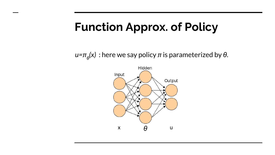## **Function Approx. of Policy**

*u=π<sup>θ</sup> (x)* : here we say policy *π* is parameterized by *θ*.

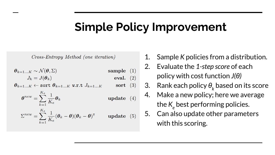## **Simple Policy Improvement**

Cross-Entropy Method (one iteration)

| $\boldsymbol{\theta}_{k=1K} \sim \mathcal{N}(\boldsymbol{\theta}, \Sigma)$ | sample $(1)$ |  |
|----------------------------------------------------------------------------|--------------|--|
| $J_k = J(\theta_k)$                                                        | eval. (2)    |  |

$$
\boldsymbol{\theta}_{k=1...K} \leftarrow \mathtt{sort} \ \boldsymbol{\theta}_{k=1...K} \ \mathtt{w.r.t} \ J_{k=1...K} \qquad \mathtt{sort} \ \ (3)
$$

$$
\boldsymbol{\theta}^{new} = \sum_{k=1}^{K_e} \frac{1}{K_e} \boldsymbol{\theta}_k \quad \text{update} \quad (4)
$$

$$
\Sigma^{new} = \sum_{k=1}^{K_e} \frac{1}{K_e} (\boldsymbol{\theta}_k - \boldsymbol{\theta}) (\boldsymbol{\theta}_k - \boldsymbol{\theta})^{\mathsf{T}} \quad \text{update} \quad (5)
$$

- 1. Sample *K* policies from a distribution.
- 2. Evaluate the *1-step score* of each policy with cost function *J(θ)*
- 3. Rank each policy  $\theta_{k}$  based on its score
- 4. Make a new policy; here we average the  $K_{_e}$  best performing policies.
- 5. Can also update other parameters with this scoring.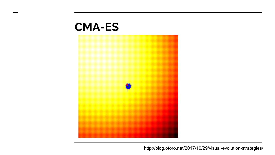#### **CMA-ES**



http://blog.otoro.net/2017/10/29/visual-evolution-strategies/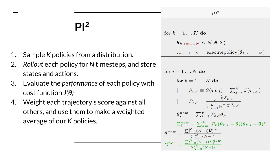#### **PI2**

- 1. Sample *K* policies from a distribution.
- 2. *Rollout* each policy for *N* timesteps, and store states and actions.
- 3. Evaluate the *performance* of each policy with cost function *J(θ)*
- 4. Weight each trajectory's score against all others, and use them to make a weighted average of our *K* policies.

for  $k = 1...K$  do  $\theta_{k,i=1...N} \sim \mathcal{N}(\theta, \Sigma)$  $\tau_{k,i=1...N} = \text{executepolicy}(\boldsymbol{\theta}_{k,i=1...N})$ 

for 
$$
i = 1...N
$$
 do  
\n
$$
\begin{aligned}\n& \text{for } k = 1...K \text{ do} \\
& \text{if } S_{k,i} \equiv S(\boldsymbol{\tau}_{k,i}) = \sum_{j=i}^{N} J(\boldsymbol{\tau}_{j,k}) \\
& \text{if } P_{k,i} = \frac{e^{-\frac{1}{\lambda}S_{k,i}}}{\sum_{k=1}^{K} [e^{-\frac{1}{\lambda}S_{k,i}}]} \\
& \text{if } P_{i}^{new} = \sum_{k=1}^{K} P_{k,i} \boldsymbol{\theta}_{k} \\
& \text{if } \sum_{i=1}^{new} P_{i} = \sum_{k=1}^{K} P_{k} (\boldsymbol{\theta}_{k,i} - \boldsymbol{\theta}) (\boldsymbol{\theta}_{k,i} - \boldsymbol{\theta})^{\mathsf{T}} \\
& \text{if } P_{i}^{new} = \frac{\sum_{i=0}^{N} (N-i) \boldsymbol{\theta}_{i}^{new}}{\sum_{i=0}^{N} (N-i)} \\
& \text{if } P_{i}^{new} = \frac{\sum_{i=0}^{N} (N-i) \sum_{i}^{new}}{\sum_{i=0}^{N} (N-i)}\n\end{aligned}
$$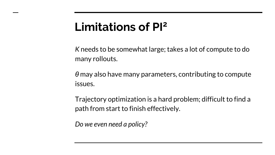## **Limitations of PI2**

*K* needs to be somewhat large; takes a lot of compute to do many rollouts.

*θ* may also have many parameters, contributing to compute issues.

Trajectory optimization is a hard problem; difficult to find a path from start to finish effectively.

*Do we even need a policy?*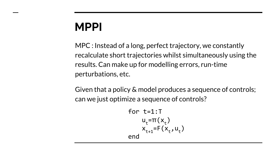## **MPPI**

MPC : Instead of a long, perfect trajectory, we constantly recalculate short trajectories whilst simultaneously using the results. Can make up for modelling errors, run-time perturbations, etc.

Given that a policy & model produces a sequence of controls; can we just optimize a sequence of controls?

for t=1:T  
\n
$$
u_t = \pi(x_t)
$$
\n
$$
x_{t+1} = F(x_t, u_t)
$$
\n
$$
u_t = \pi(x_t, u_t)
$$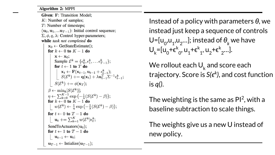#### **Algorithm 2: MPPI**

**Given: F: Transition Model:**  $K$ : Number of samples; T: Number of timesteps;  $(\mathbf{u}_0, \mathbf{u}_1, \dots \mathbf{u}_{T-1})$ : Initial control sequence;  $\Sigma, \phi, q, \lambda$ : Control hyper-parameters; while task not completed do  $\mathbf{x}_0 \leftarrow \text{GetStateEstimate}()$ ; for  $k \leftarrow 0$  to  $K - 1$  do  $\mathbf{x} \leftarrow \mathbf{x}_0$ ; Sample  $\mathcal{E}^k = {\epsilon_0^k, \epsilon_1^k, \ldots \epsilon_{T-1}^k};$ for  $t \leftarrow 1$  to T do  $\begin{array}{c} \mathbf{x}_t \leftarrow \mathbf{F}(\mathbf{x}_{t-1}, \mathbf{u}_{t-1}+\epsilon_{t-1}^k); \ S(\mathcal{E}^k) \leftarrow \mathbf{q}(\mathbf{x}_t) + \lambda \mathbf{u}_{t-1}^\mathrm{T}\Sigma^{-1}\epsilon_{t-1}^k; \end{array}$  $S(\mathcal{E}^k) \rightarrow = \phi(\mathbf{x}_T);$  $\beta \leftarrow \min_k [S(\mathcal{E}^k)]$ ;  $\eta \leftarrow \sum_{k=0}^{K-1} \exp \left(-\frac{1}{\lambda} (S(\mathcal{E}^k) - \beta)\right);$ for  $k \leftarrow 0$  to  $K - 1$  do  $w(\mathcal{E}^k) \leftarrow \frac{1}{n} \exp \left(-\frac{1}{\lambda}(S(\mathcal{E}^k) - \beta)\right);$ for  $t \leftarrow 0$  to  $T - 1$  do  $\begin{aligned} \mathbf{u}_t + & = \sum_{k=1}^K w(\mathcal{E}^k) \epsilon_t^k; \end{aligned}$ SendToActuators $(\mathbf{u}_0)$ ; for  $t \leftarrow 1$  to  $T - 1$  do  $\mathbf{u}_{t-1} \leftarrow \mathbf{u}_t;$  $\mathbf{u}_{T-1} \leftarrow$  Intialize( $\mathbf{u}_{T-1}$ );

Instead of a policy with parameters *θ*, we instead just keep a sequence of controls U=[u<sub>0</sub>,u<sub>1</sub>,u<sub>2</sub>...]; instead of  $\theta_{\rm k}$  we have  $U_k = [u_0 + \epsilon^k]$  $_{0}$ , u<sub>1</sub>+ $\epsilon_{1}^{k}$  $1, u_2 + \epsilon^k$ <sub>2</sub>...].

We rollout each  $\bm{\mathsf{U}}_{\bm{\mathsf{k}}}$  and score each trajectory. Score is *S(ϵ k )*, and cost function is *q()*.

The weighting is the same as  $\mathsf{Pl}^2$ , with a baseline subtraction to scale things.

The weights give us a new U instead of new policy.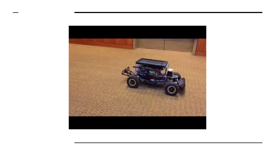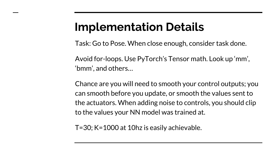## **Implementation Details**

Task: Go to Pose. When close enough, consider task done.

Avoid for-loops. Use PyTorch's Tensor math. Look up 'mm', 'bmm', and others…

Chance are you will need to smooth your control outputs; you can smooth before you update, or smooth the values sent to the actuators. When adding noise to controls, you should clip to the values your NN model was trained at.

T=30; K=1000 at 10hz is easily achievable.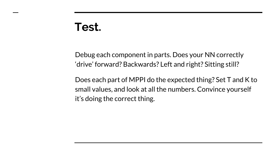#### **Test.**

Debug each component in parts. Does your NN correctly 'drive' forward? Backwards? Left and right? Sitting still?

Does each part of MPPI do the expected thing? Set T and K to small values, and look at all the numbers. Convince yourself it's doing the correct thing.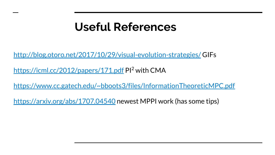## **Useful References**

<http://blog.otoro.net/2017/10/29/visual-evolution-strategies/> GIFs

<https://icml.cc/2012/papers/171.pdf> PI<sup>2</sup> with CMA

<https://www.cc.gatech.edu/~bboots3/files/InformationTheoreticMPC.pdf>

<https://arxiv.org/abs/1707.04540> newest MPPI work (has some tips)